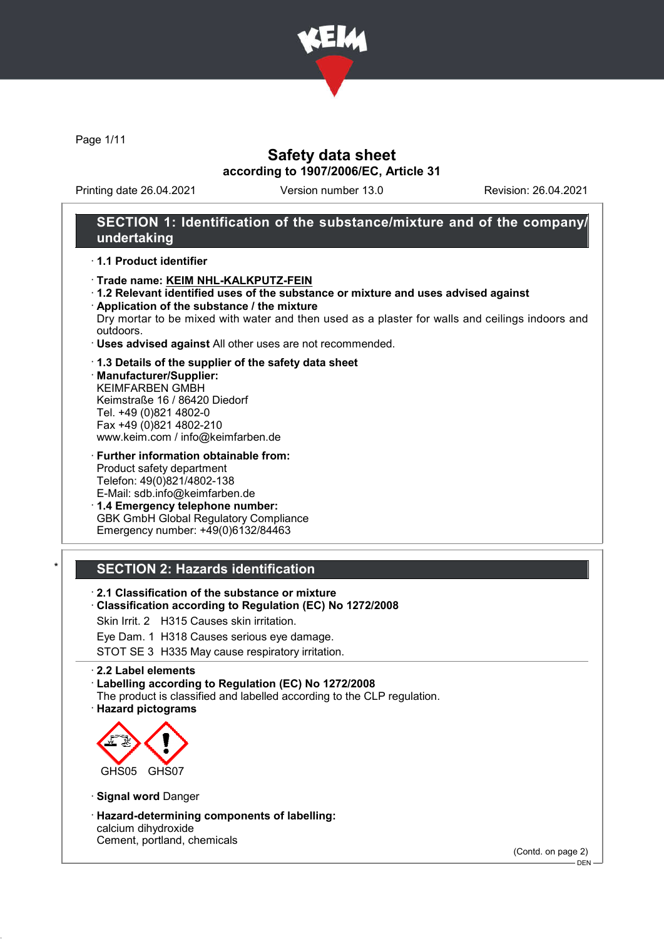

Page 1/11

# Safety data sheet according to 1907/2006/EC, Article 31

Printing date 26.04.2021 Version number 13.0 Revision: 26.04.2021

## SECTION 1: Identification of the substance/mixture and of the company/ undertaking

#### · 1.1 Product identifier

- · Trade name: KEIM NHL-KALKPUTZ-FEIN
- · 1.2 Relevant identified uses of the substance or mixture and uses advised against · Application of the substance / the mixture
- Dry mortar to be mixed with water and then used as a plaster for walls and ceilings indoors and outdoors.
- · Uses advised against All other uses are not recommended.

#### · 1.3 Details of the supplier of the safety data sheet

· Manufacturer/Supplier: KEIMFARBEN GMBH Keimstraße 16 / 86420 Diedorf Tel. +49 (0)821 4802-0 Fax +49 (0)821 4802-210 www.keim.com / info@keimfarben.de

· Further information obtainable from: Product safety department Telefon: 49(0)821/4802-138 E-Mail: sdb.info@keimfarben.de

· 1.4 Emergency telephone number: GBK GmbH Global Regulatory Compliance Emergency number: +49(0)6132/84463

## **SECTION 2: Hazards identification**

- · 2.1 Classification of the substance or mixture
- · Classification according to Regulation (EC) No 1272/2008
- Skin Irrit. 2 H315 Causes skin irritation.
- Eye Dam. 1 H318 Causes serious eye damage.
- STOT SE 3 H335 May cause respiratory irritation.

#### · 2.2 Label elements

· Labelling according to Regulation (EC) No 1272/2008

- The product is classified and labelled according to the CLP regulation.
- · Hazard pictograms



- · Signal word Danger
- · Hazard-determining components of labelling: calcium dihydroxide Cement, portland, chemicals

(Contd. on page 2)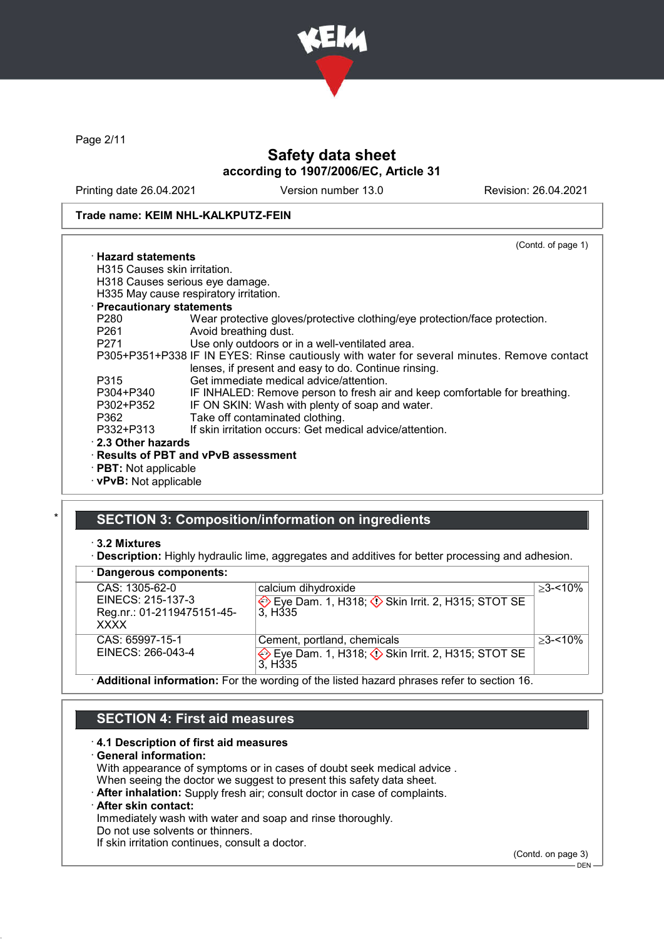

Page 2/11

# Safety data sheet according to 1907/2006/EC, Article 31

Printing date 26.04.2021 Version number 13.0 Revision: 26.04.2021

#### Trade name: KEIM NHL-KALKPUTZ-FEIN

(Contd. of page 1) · Hazard statements H315 Causes skin irritation. H318 Causes serious eye damage. H335 May cause respiratory irritation. · Precautionary statements P280 Wear protective gloves/protective clothing/eye protection/face protection.<br>P261 Avoid breathing dust. Avoid breathing dust. P271 Use only outdoors or in a well-ventilated area. P305+P351+P338 IF IN EYES: Rinse cautiously with water for several minutes. Remove contact lenses, if present and easy to do. Continue rinsing. P315 Get immediate medical advice/attention.<br>P304+P340 IF INHALED: Remove person to fresh ai P304+P340 IF INHALED: Remove person to fresh air and keep comfortable for breathing.<br>P302+P352 IF ON SKIN: Wash with plenty of soap and water. IF ON SKIN: Wash with plenty of soap and water. P362 Take off contaminated clothing.<br>P332+P313 If skin irritation occurs: Get med If skin irritation occurs: Get medical advice/attention. · 2.3 Other hazards · Results of PBT and vPvB assessment · PBT: Not applicable · vPvB: Not applicable

# SECTION 3: Composition/information on ingredients

#### · 3.2 Mixtures

· Description: Highly hydraulic lime, aggregates and additives for better processing and adhesion.

| · Dangerous components:                                                   |                                                                                                                 |             |
|---------------------------------------------------------------------------|-----------------------------------------------------------------------------------------------------------------|-------------|
| CAS: 1305-62-0<br>EINECS: 215-137-3<br>Reg.nr.: 01-2119475151-45-<br>XXXX | calcium dihydroxide<br>Eye Dam. 1, H318; 3 Skin Irrit. 2, H315; STOT SE<br>3. H <sub>335</sub>                  | $>3 - 10\%$ |
| CAS: 65997-15-1<br>EINECS: 266-043-4                                      | Cement, portland, chemicals<br>Eye Dam. 1, H318; $\Diamond$ Skin Irrit. 2, H315; STOT SE<br>3. H <sub>335</sub> | $>3 - 10\%$ |
|                                                                           | A della condita feministerio Continuino di Condine di Condita della condita della condita della condita del 40  |             |

 $\cdot$  **Additional information:** For the wording of the listed hazard phrases refer to section 16.

## SECTION 4: First aid measures

#### · 4.1 Description of first aid measures

#### · General information:

With appearance of symptoms or in cases of doubt seek medical advice .

When seeing the doctor we suggest to present this safety data sheet.

· After inhalation: Supply fresh air; consult doctor in case of complaints.

## After skin contact:

Immediately wash with water and soap and rinse thoroughly.

Do not use solvents or thinners.

If skin irritation continues, consult a doctor.

(Contd. on page 3)

DEN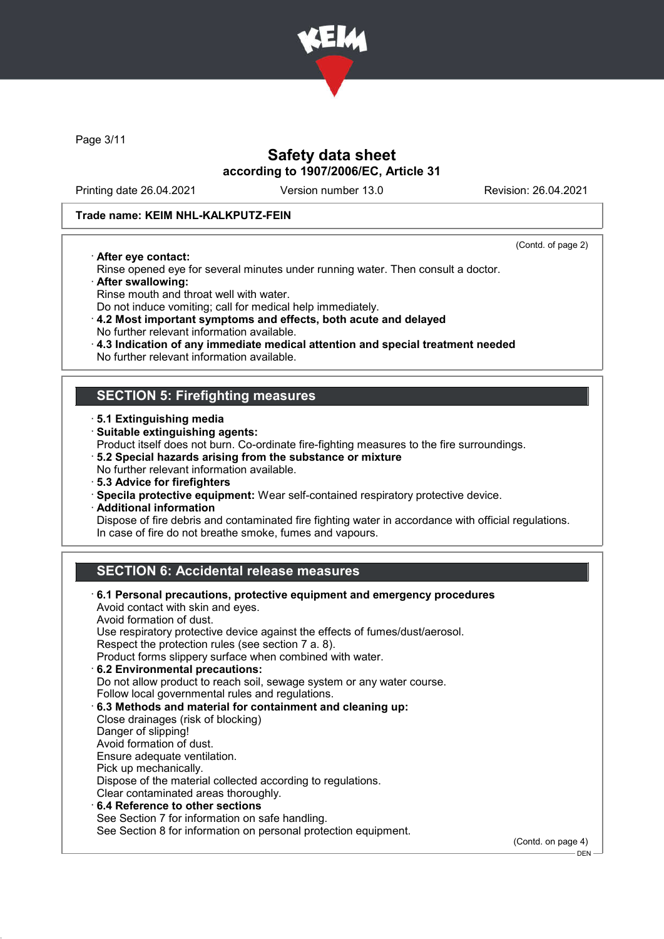

Page 3/11

# Safety data sheet according to 1907/2006/EC, Article 31

Printing date 26.04.2021 Version number 13.0 Revision: 26.04.2021

### Trade name: KEIM NHL-KALKPUTZ-FEIN

· After eye contact:

(Contd. of page 2)

DEN

- Rinse opened eye for several minutes under running water. Then consult a doctor.
- · After swallowing:
- Rinse mouth and throat well with water.
- Do not induce vomiting; call for medical help immediately.
- · 4.2 Most important symptoms and effects, both acute and delayed No further relevant information available.
- · 4.3 Indication of any immediate medical attention and special treatment needed
- No further relevant information available.

## SECTION 5: Firefighting measures

- · 5.1 Extinguishing media
- · Suitable extinguishing agents:
- Product itself does not burn. Co-ordinate fire-fighting measures to the fire surroundings.
- · 5.2 Special hazards arising from the substance or mixture
- No further relevant information available.
- · 5.3 Advice for firefighters
- · Specila protective equipment: Wear self-contained respiratory protective device.
- · Additional information

Dispose of fire debris and contaminated fire fighting water in accordance with official regulations. In case of fire do not breathe smoke, fumes and vapours.

# SECTION 6: Accidental release measures

| $\cdot$ 6.1 Personal precautions, protective equipment and emergency procedures<br>Avoid contact with skin and eyes. |                    |
|----------------------------------------------------------------------------------------------------------------------|--------------------|
| Avoid formation of dust.                                                                                             |                    |
| Use respiratory protective device against the effects of fumes/dust/aerosol.                                         |                    |
| Respect the protection rules (see section 7 a. 8).                                                                   |                    |
| Product forms slippery surface when combined with water.                                                             |                    |
| 6.2 Environmental precautions:                                                                                       |                    |
| Do not allow product to reach soil, sewage system or any water course.                                               |                    |
| Follow local governmental rules and regulations.                                                                     |                    |
| 6.3 Methods and material for containment and cleaning up:                                                            |                    |
| Close drainages (risk of blocking)                                                                                   |                    |
| Danger of slipping!                                                                                                  |                    |
| Avoid formation of dust.                                                                                             |                    |
| Ensure adequate ventilation.                                                                                         |                    |
| Pick up mechanically.                                                                                                |                    |
| Dispose of the material collected according to regulations.                                                          |                    |
| Clear contaminated areas thoroughly.                                                                                 |                    |
| 6.4 Reference to other sections                                                                                      |                    |
| See Section 7 for information on safe handling.                                                                      |                    |
| See Section 8 for information on personal protection equipment.                                                      |                    |
|                                                                                                                      | (Contd. on page 4) |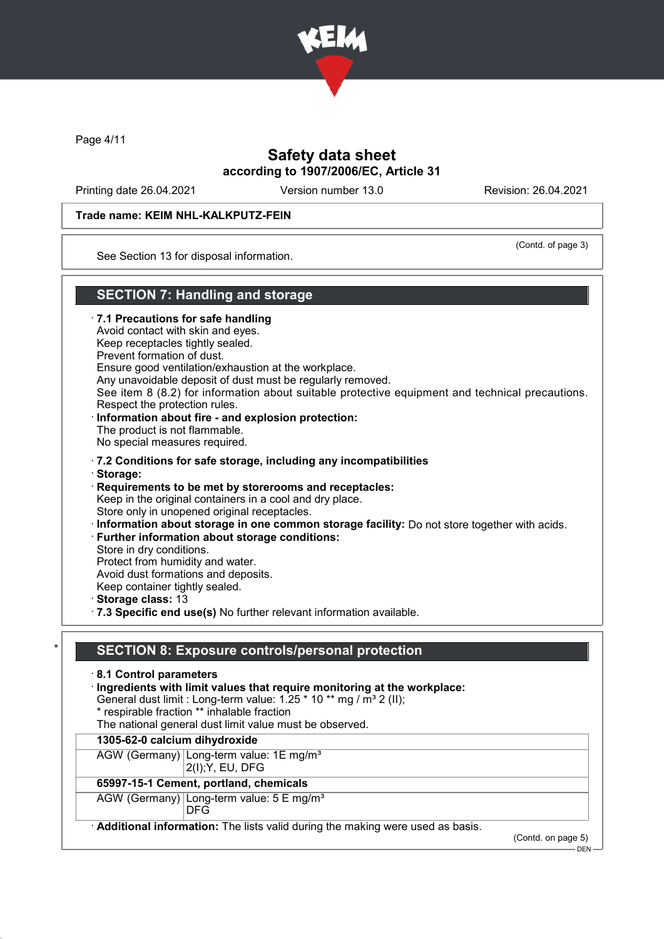

Page 4/11

# Safety data sheet according to 1907/2006/EC, Article 31

Printing date 26.04.2021 Version number 13.0 Revision: 26.04.2021

#### Trade name: KEIM NHL-KALKPUTZ-FEIN

(Contd. of page 3)

See Section 13 for disposal information.

# SECTION 7: Handling and storage

· 7.1 Precautions for safe handling Avoid contact with skin and eyes. Keep receptacles tightly sealed. Prevent formation of dust. Ensure good ventilation/exhaustion at the workplace. Any unavoidable deposit of dust must be regularly removed. See item 8 (8.2) for information about suitable protective equipment and technical precautions. Respect the protection rules. Information about fire - and explosion protection: The product is not flammable. No special measures required. · 7.2 Conditions for safe storage, including any incompatibilities · Storage: · Requirements to be met by storerooms and receptacles: Keep in the original containers in a cool and dry place. Store only in unopened original receptacles. · Information about storage in one common storage facility: Do not store together with acids. · Further information about storage conditions: Store in dry conditions. Protect from humidity and water. Avoid dust formations and deposits. Keep container tightly sealed. · Storage class: 13 · 7.3 Specific end use(s) No further relevant information available.

## SECTION 8: Exposure controls/personal protection

· 8.1 Control parameters

· Ingredients with limit values that require monitoring at the workplace:

- General dust limit : Long-term value:  $1.25 * 10 **$  mg / m<sup>3</sup> 2 (II);
- \* respirable fraction \*\* inhalable fraction
- The national general dust limit value must be observed.

#### 1305-62-0 calcium dihydroxide

AGW (Germany) Long-term value: 1E mg/m<sup>3</sup>

2(I);Y, EU, DFG

## 65997-15-1 Cement, portland, chemicals

AGW (Germany) Long-term value: 5 E mg/m<sup>3</sup>

DFG

Additional information: The lists valid during the making were used as basis.

(Contd. on page 5)

DEN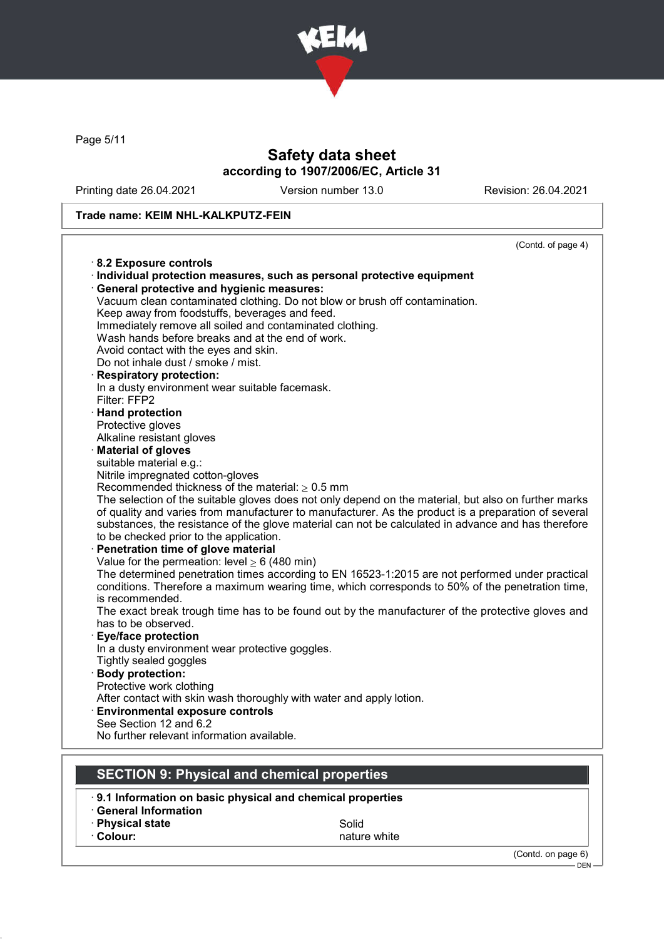

Page 5/11

# Safety data sheet according to 1907/2006/EC, Article 31

Printing date 26.04.2021 Version number 13.0 Revision: 26.04.2021

## Trade name: KEIM NHL-KALKPUTZ-FEIN

| (Contd. of page 4)                                                                                   |
|------------------------------------------------------------------------------------------------------|
| 8.2 Exposure controls                                                                                |
| · Individual protection measures, such as personal protective equipment                              |
| General protective and hygienic measures:                                                            |
| Vacuum clean contaminated clothing. Do not blow or brush off contamination.                          |
| Keep away from foodstuffs, beverages and feed.                                                       |
| Immediately remove all soiled and contaminated clothing.                                             |
| Wash hands before breaks and at the end of work.                                                     |
| Avoid contact with the eyes and skin.                                                                |
| Do not inhale dust / smoke / mist.                                                                   |
| · Respiratory protection:                                                                            |
| In a dusty environment wear suitable facemask.                                                       |
| Filter: FFP2                                                                                         |
| · Hand protection                                                                                    |
| Protective gloves                                                                                    |
| Alkaline resistant gloves                                                                            |
| · Material of gloves                                                                                 |
| suitable material e.g.:                                                                              |
| Nitrile impregnated cotton-gloves                                                                    |
| Recommended thickness of the material: $\geq 0.5$ mm                                                 |
| The selection of the suitable gloves does not only depend on the material, but also on further marks |
| of quality and varies from manufacturer to manufacturer. As the product is a preparation of several  |
| substances, the resistance of the glove material can not be calculated in advance and has therefore  |
| to be checked prior to the application.                                                              |
| · Penetration time of glove material                                                                 |
| Value for the permeation: level $\geq 6$ (480 min)                                                   |
| The determined penetration times according to EN 16523-1:2015 are not performed under practical      |
| conditions. Therefore a maximum wearing time, which corresponds to 50% of the penetration time,      |
| is recommended.                                                                                      |
| The exact break trough time has to be found out by the manufacturer of the protective gloves and     |
| has to be observed.                                                                                  |
| <b>Eye/face protection</b>                                                                           |
| In a dusty environment wear protective goggles.                                                      |
| Tightly sealed goggles                                                                               |
| · Body protection:                                                                                   |
| Protective work clothing                                                                             |
| After contact with skin wash thoroughly with water and apply lotion.                                 |
| <b>Environmental exposure controls</b><br>See Section 12 and 6.2                                     |
| No further relevant information available.                                                           |
|                                                                                                      |
|                                                                                                      |
| <b>SECTION 9: Physical and chemical properties</b>                                                   |
| 9.1 Information on basic physical and chemical properties                                            |

- · General Information
- **· Physical state Solid**

• Colour: nature white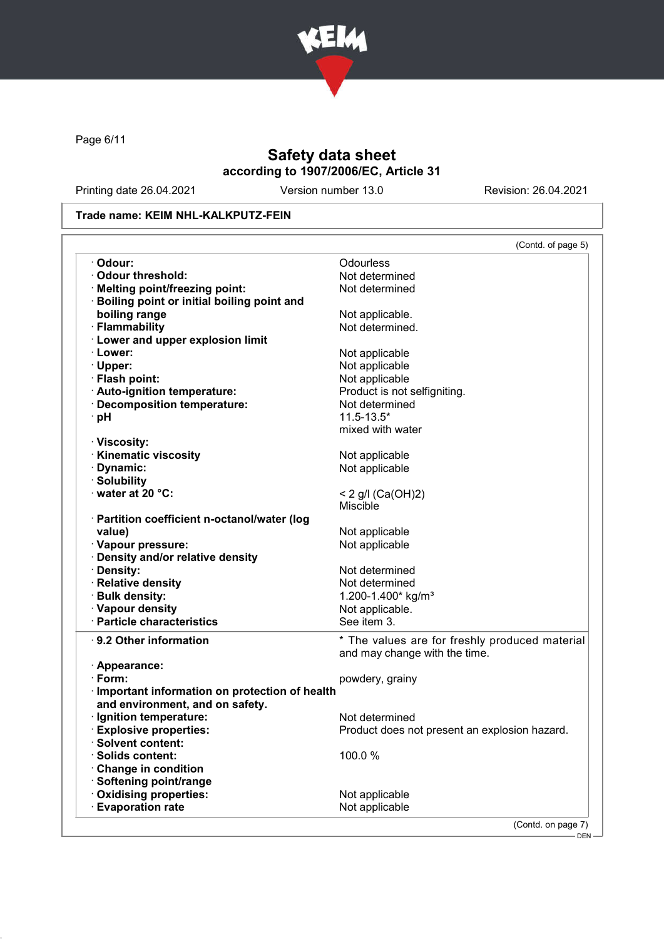

Page 6/11

# Safety data sheet according to 1907/2006/EC, Article 31

Printing date 26.04.2021 Version number 13.0 Revision: 26.04.2021

## Trade name: KEIM NHL-KALKPUTZ-FEIN

|                                                         | (Contd. of page 5)                             |
|---------------------------------------------------------|------------------------------------------------|
| · Odour:                                                | Odourless                                      |
| Odour threshold:                                        | Not determined                                 |
| · Melting point/freezing point:                         | Not determined                                 |
| Boiling point or initial boiling point and              |                                                |
| boiling range                                           | Not applicable.                                |
| · Flammability                                          | Not determined.                                |
| · Lower and upper explosion limit                       |                                                |
| · Lower:                                                | Not applicable                                 |
| · Upper:                                                | Not applicable                                 |
| · Flash point:                                          | Not applicable                                 |
| · Auto-ignition temperature:                            | Product is not selfigniting.                   |
| · Decomposition temperature:                            | Not determined                                 |
| · pH                                                    | $11.5 - 13.5*$                                 |
|                                                         | mixed with water                               |
| · Viscosity:                                            |                                                |
| <b>Kinematic viscosity</b>                              | Not applicable                                 |
| Dynamic:                                                | Not applicable                                 |
| · Solubility                                            |                                                |
| $\cdot$ water at 20 °C:                                 |                                                |
|                                                         | < 2 g/l (Ca(OH)2)<br><b>Miscible</b>           |
|                                                         |                                                |
| · Partition coefficient n-octanol/water (log            |                                                |
| value)                                                  | Not applicable                                 |
| · Vapour pressure:                                      | Not applicable                                 |
| · Density and/or relative density                       |                                                |
| · Density:                                              | Not determined                                 |
| · Relative density                                      | Not determined                                 |
| · Bulk density:                                         | 1.200-1.400* kg/m <sup>3</sup>                 |
| · Vapour density                                        | Not applicable.                                |
| · Particle characteristics                              | See item 3.                                    |
| ⋅ 9.2 Other information                                 | * The values are for freshly produced material |
|                                                         | and may change with the time.                  |
| · Appearance:                                           |                                                |
| $\cdot$ Form:                                           | powdery, grainy                                |
| Important information on protection of health           |                                                |
| and environment, and on safety.                         |                                                |
| · Ignition temperature:                                 | Not determined                                 |
| <b>Explosive properties:</b>                            | Product does not present an explosion hazard.  |
|                                                         |                                                |
| <b>Solvent content:</b>                                 |                                                |
| <b>Solids content:</b>                                  | 100.0%                                         |
| <b>Change in condition</b>                              |                                                |
| Softening point/range                                   |                                                |
|                                                         |                                                |
| <b>Oxidising properties:</b><br><b>Evaporation rate</b> | Not applicable<br>Not applicable               |

DEN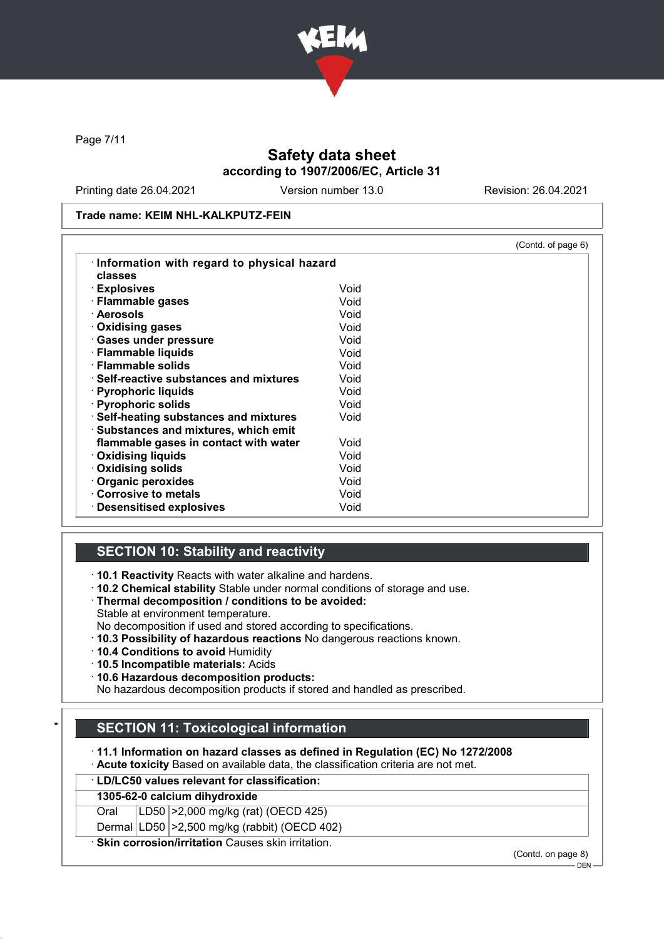

Page 7/11

# Safety data sheet according to 1907/2006/EC, Article 31

Printing date 26.04.2021 Version number 13.0 Revision: 26.04.2021

Trade name: KEIM NHL-KALKPUTZ-FEIN

|                                               |      | (Contd. of page 6) |
|-----------------------------------------------|------|--------------------|
| Information with regard to physical hazard    |      |                    |
| classes                                       |      |                    |
| · Explosives                                  | Void |                    |
| · Flammable gases                             | Void |                    |
| · Aerosols                                    | Void |                    |
| Oxidising gases                               | Void |                    |
| · Gases under pressure                        | Void |                    |
| · Flammable liquids                           | Void |                    |
| $\cdot$ Flammable solids                      | Void |                    |
| $\cdot$ Self-reactive substances and mixtures | Void |                    |
| · Pyrophoric liquids                          | Void |                    |
| · Pyrophoric solids                           | Void |                    |
| · Self-heating substances and mixtures        | Void |                    |
| · Substances and mixtures, which emit         |      |                    |
| flammable gases in contact with water         | Void |                    |
| <b>⋅ Oxidising liquids</b>                    | Void |                    |
| · Oxidising solids                            | Void |                    |
| Organic peroxides                             | Void |                    |
| Corrosive to metals                           | Void |                    |
| $\cdot$ Desensitised explosives               | Void |                    |

## SECTION 10: Stability and reactivity

· 10.1 Reactivity Reacts with water alkaline and hardens.

- · 10.2 Chemical stability Stable under normal conditions of storage and use.
- · Thermal decomposition / conditions to be avoided:
- Stable at environment temperature.
- No decomposition if used and stored according to specifications.
- · 10.3 Possibility of hazardous reactions No dangerous reactions known.
- · 10.4 Conditions to avoid Humidity
- · 10.5 Incompatible materials: Acids
- · 10.6 Hazardous decomposition products:

No hazardous decomposition products if stored and handled as prescribed.

# **SECTION 11: Toxicological information**

· 11.1 Information on hazard classes as defined in Regulation (EC) No 1272/2008

- · Acute toxicity Based on available data, the classification criteria are not met.
- · LD/LC50 values relevant for classification:

## 1305-62-0 calcium dihydroxide

Oral LD50 >2,000 mg/kg (rat) (OECD 425)

Dermal LD50 >2,500 mg/kg (rabbit) (OECD 402)

· Skin corrosion/irritation Causes skin irritation.

(Contd. on page 8)

 $-$  DEN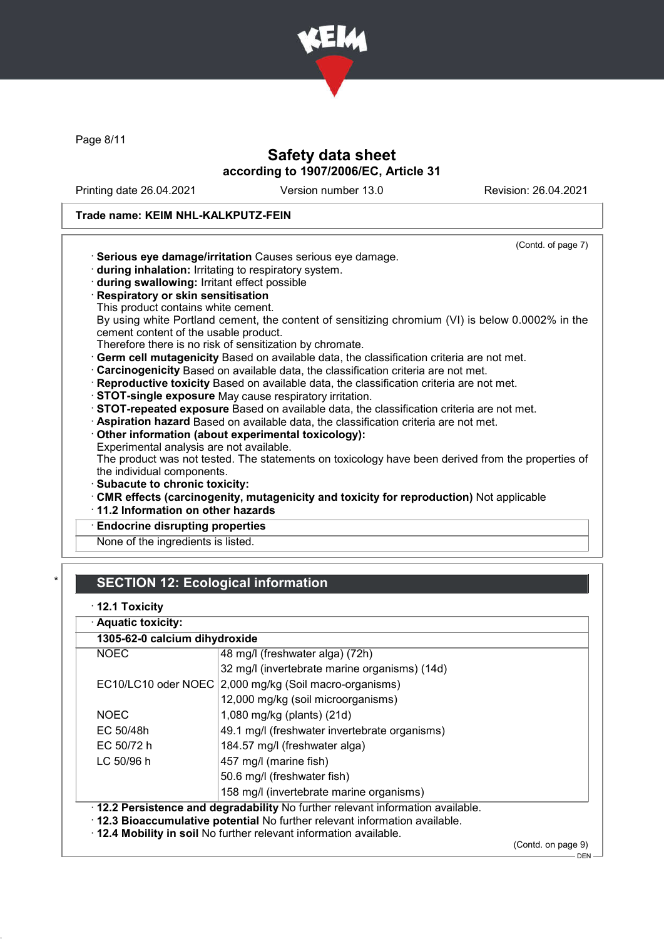

Page 8/11

# Safety data sheet according to 1907/2006/EC, Article 31

Printing date 26.04.2021 Version number 13.0 Revision: 26.04.2021

# Trade name: KEIM NHL-KALKPUTZ-FEIN

|                                                                                                                                           | (Contd. of page 7) |
|-------------------------------------------------------------------------------------------------------------------------------------------|--------------------|
| · Serious eye damage/irritation Causes serious eye damage.                                                                                |                    |
| during inhalation: Irritating to respiratory system.                                                                                      |                    |
| during swallowing: Irritant effect possible                                                                                               |                    |
| · Respiratory or skin sensitisation                                                                                                       |                    |
| This product contains white cement.                                                                                                       |                    |
| By using white Portland cement, the content of sensitizing chromium (VI) is below 0.0002% in the<br>cement content of the usable product. |                    |
| Therefore there is no risk of sensitization by chromate.                                                                                  |                    |
| Germ cell mutagenicity Based on available data, the classification criteria are not met.                                                  |                    |
| · Carcinogenicity Based on available data, the classification criteria are not met.                                                       |                    |
| · Reproductive toxicity Based on available data, the classification criteria are not met.                                                 |                    |
| · STOT-single exposure May cause respiratory irritation.                                                                                  |                    |
| STOT-repeated exposure Based on available data, the classification criteria are not met.                                                  |                    |
| Aspiration hazard Based on available data, the classification criteria are not met.                                                       |                    |
| Other information (about experimental toxicology):                                                                                        |                    |
| Experimental analysis are not available.                                                                                                  |                    |
| The product was not tested. The statements on toxicology have been derived from the properties of                                         |                    |
| the individual components.                                                                                                                |                    |
| · Subacute to chronic toxicity:                                                                                                           |                    |
| CMR effects (carcinogenity, mutagenicity and toxicity for reproduction) Not applicable                                                    |                    |
| 11.2 Information on other hazards                                                                                                         |                    |
| <b>Endocrine disrupting properties</b>                                                                                                    |                    |
| None of the ingredients is listed.                                                                                                        |                    |

# **SECTION 12: Ecological information**

|  | $\cdot$ 12.1 Toxicity |
|--|-----------------------|
|  |                       |

| · Aquatic toxicity:                                                                                                                                                                                                                  |                                                        |                   |
|--------------------------------------------------------------------------------------------------------------------------------------------------------------------------------------------------------------------------------------|--------------------------------------------------------|-------------------|
| 1305-62-0 calcium dihydroxide                                                                                                                                                                                                        |                                                        |                   |
| <b>NOEC</b>                                                                                                                                                                                                                          | 48 mg/l (freshwater alga) (72h)                        |                   |
|                                                                                                                                                                                                                                      | 32 mg/l (invertebrate marine organisms) (14d)          |                   |
|                                                                                                                                                                                                                                      | EC10/LC10 oder NOEC 2,000 mg/kg (Soil macro-organisms) |                   |
|                                                                                                                                                                                                                                      | 12,000 mg/kg (soil microorganisms)                     |                   |
| <b>NOEC</b>                                                                                                                                                                                                                          | 1,080 mg/kg (plants) (21d)                             |                   |
| EC 50/48h                                                                                                                                                                                                                            | 49.1 mg/l (freshwater invertebrate organisms)          |                   |
| EC 50/72 h                                                                                                                                                                                                                           | 184.57 mg/l (freshwater alga)                          |                   |
| LC 50/96 h                                                                                                                                                                                                                           | 457 mg/l (marine fish)                                 |                   |
|                                                                                                                                                                                                                                      | 50.6 mg/l (freshwater fish)                            |                   |
|                                                                                                                                                                                                                                      | 158 mg/l (invertebrate marine organisms)               |                   |
| . 12.2 Persistence and degradability No further relevant information available.<br>. 12.3 Bioaccumulative potential No further relevant information available.<br>. 12.4 Mobility in soil No further relevant information available. |                                                        |                   |
|                                                                                                                                                                                                                                      |                                                        | (Contedon page 0) |

(Contd. on page 9)  $-$  DEN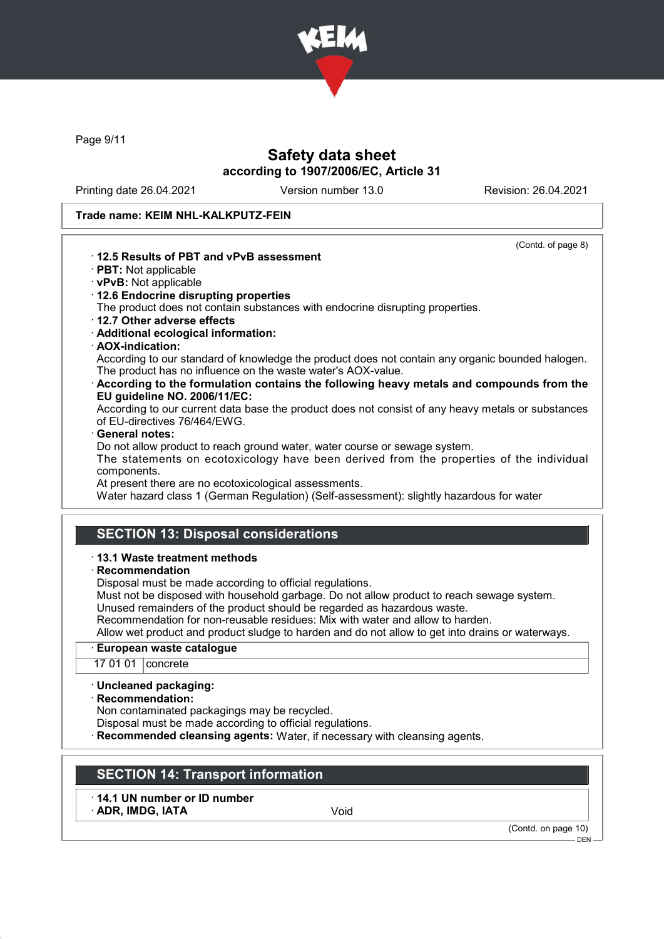

Page 9/11

# Safety data sheet according to 1907/2006/EC, Article 31

Printing date 26.04.2021 Version number 13.0 Revision: 26.04.2021

#### Trade name: KEIM NHL-KALKPUTZ-FEIN

(Contd. of page 8)

## · 12.5 Results of PBT and vPvB assessment

- · PBT: Not applicable
- · vPvB: Not applicable
- · 12.6 Endocrine disrupting properties

The product does not contain substances with endocrine disrupting properties.

- · 12.7 Other adverse effects
- · Additional ecological information:
- · AOX-indication:

According to our standard of knowledge the product does not contain any organic bounded halogen. The product has no influence on the waste water's AOX-value.

· According to the formulation contains the following heavy metals and compounds from the EU guideline NO. 2006/11/EC:

According to our current data base the product does not consist of any heavy metals or substances of EU-directives 76/464/EWG.

#### General notes:

Do not allow product to reach ground water, water course or sewage system.

The statements on ecotoxicology have been derived from the properties of the individual components.

At present there are no ecotoxicological assessments.

Water hazard class 1 (German Regulation) (Self-assessment): slightly hazardous for water

## SECTION 13: Disposal considerations

#### · 13.1 Waste treatment methods

#### · Recommendation

Disposal must be made according to official regulations.

Must not be disposed with household garbage. Do not allow product to reach sewage system. Unused remainders of the product should be regarded as hazardous waste.

Recommendation for non-reusable residues: Mix with water and allow to harden.

Allow wet product and product sludge to harden and do not allow to get into drains or waterways.

#### European waste catalogue

17 01 01 concrete

#### · Uncleaned packaging:

· Recommendation:

Non contaminated packagings may be recycled.

Disposal must be made according to official regulations.

Recommended cleansing agents: Water, if necessary with cleansing agents.

# SECTION 14: Transport information

· 14.1 UN number or ID number ADR, IMDG, IATA Void

(Contd. on page 10)

DEN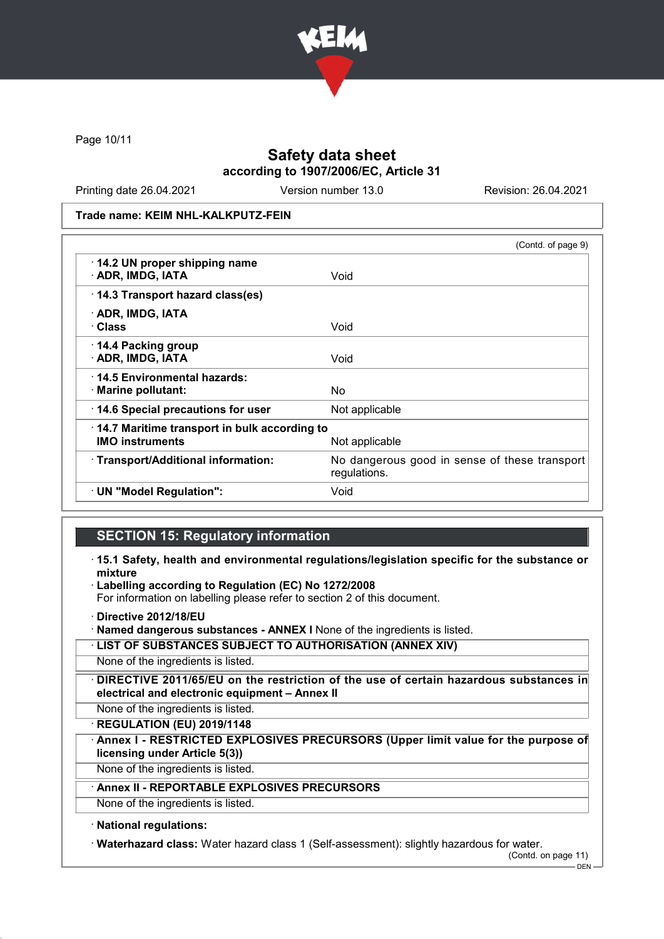

Page 10/11

# Safety data sheet according to 1907/2006/EC, Article 31

Printing date 26.04.2021 Version number 13.0 Revision: 26.04.2021

Trade name: KEIM NHL-KALKPUTZ-FEIN

|                                                                        | (Contd. of page 9)                                            |
|------------------------------------------------------------------------|---------------------------------------------------------------|
| 14.2 UN proper shipping name<br>· ADR, IMDG, IATA                      | Void                                                          |
| 14.3 Transport hazard class(es)                                        |                                                               |
| · ADR, IMDG, IATA<br>· Class                                           | Void                                                          |
| 14.4 Packing group<br>· ADR, IMDG, IATA                                | Void                                                          |
| 14.5 Environmental hazards:<br>· Marine pollutant:                     | No.                                                           |
| 14.6 Special precautions for user                                      | Not applicable                                                |
| 14.7 Maritime transport in bulk according to<br><b>IMO instruments</b> | Not applicable                                                |
| · Transport/Additional information:                                    | No dangerous good in sense of these transport<br>regulations. |
| · UN "Model Regulation":                                               | Void                                                          |

## SECTION 15: Regulatory information

- · 15.1 Safety, health and environmental regulations/legislation specific for the substance or mixture
- Labelling according to Regulation (EC) No 1272/2008

For information on labelling please refer to section 2 of this document.

· Directive 2012/18/EU

· Named dangerous substances - ANNEX I None of the ingredients is listed.

· LIST OF SUBSTANCES SUBJECT TO AUTHORISATION (ANNEX XIV)

None of the ingredients is listed.

· DIRECTIVE 2011/65/EU on the restriction of the use of certain hazardous substances in electrical and electronic equipment – Annex II

None of the ingredients is listed.

· REGULATION (EU) 2019/1148

Annex I - RESTRICTED EXPLOSIVES PRECURSORS (Upper limit value for the purpose of licensing under Article 5(3))

None of the ingredients is listed.

# Annex II - REPORTABLE EXPLOSIVES PRECURSORS

None of the ingredients is listed.

## · National regulations:

· Waterhazard class: Water hazard class 1 (Self-assessment): slightly hazardous for water.

(Contd. on page 11)